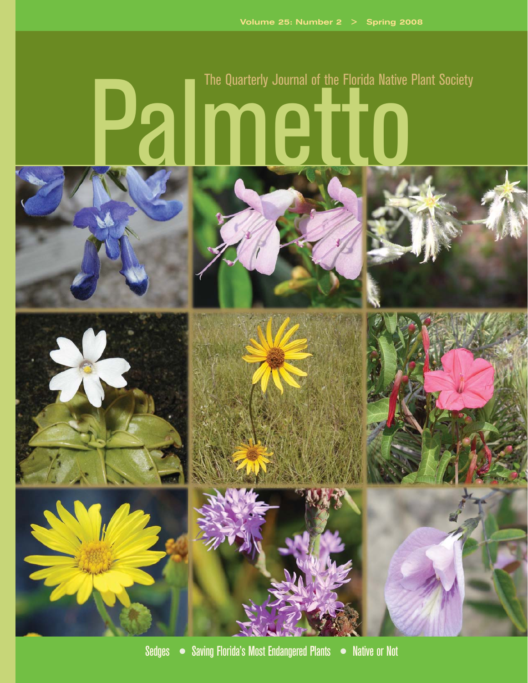## Palmetto The Quarterly Journal of the Florida Native Plant Society















Sedges ● Saving Florida's Most Endangered Plants ● Native or Not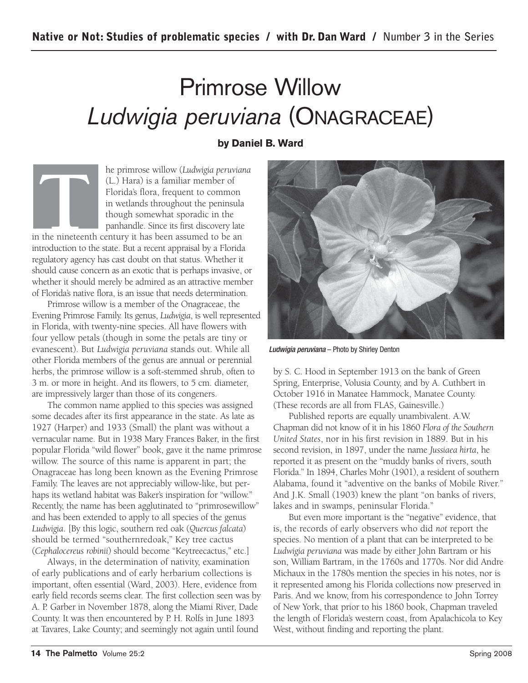## Primrose Willow Ludwigia peruviana (ONAGRACEAE)

## **by Daniel B. Ward**

**THE FRANCE IS NOTE 11 FORMAL SET AND THE PRESENTATION CL.)** Hara) is a familiar member of Florida's flora, frequent to common in wetlands throughout the peninsula though somewhat sporadic in the panhandle. Since its first (L.) Hara) is a familiar member of Florida's flora, frequent to common in wetlands throughout the peninsula though somewhat sporadic in the panhandle. Since its first discovery late in the nineteenth century it has been assumed to be an introduction to the state. But a recent appraisal by a Florida regulatory agency has cast doubt on that status. Whether it should cause concern as an exotic that is perhaps invasive, or whether it should merely be admired as an attractive member of Florida's native flora, is an issue that needs determination.

Primrose willow is a member of the Onagraceae, the Evening Primrose Family. Its genus, *Ludwigia*, is well represented in Florida, with twenty-nine species. All have flowers with four yellow petals (though in some the petals are tiny or evanescent). But *Ludwigia peruviana* stands out. While all other Florida members of the genus are annual or perennial herbs, the primrose willow is a soft-stemmed shrub, often to 3 m. or more in height. And its flowers, to 5 cm. diameter, are impressively larger than those of its congeners.

The common name applied to this species was assigned some decades after its first appearance in the state. As late as 1927 (Harper) and 1933 (Small) the plant was without a vernacular name. But in 1938 Mary Frances Baker, in the first popular Florida "wild flower" book, gave it the name primrose willow. The source of this name is apparent in part; the Onagraceae has long been known as the Evening Primrose Family. The leaves are not appreciably willow-like, but perhaps its wetland habitat was Baker's inspiration for "willow." Recently, the name has been agglutinated to "primrosewillow" and has been extended to apply to all species of the genus *Ludwigia*. [By this logic, southern red oak (*Quercus falcata*) should be termed "southernredoak," Key tree cactus (*Cephalocereus robinii*) should become "Keytreecactus," etc.]

Always, in the determination of nativity, examination of early publications and of early herbarium collections is important, often essential (Ward, 2003). Here, evidence from early field records seems clear. The first collection seen was by A. P. Garber in November 1878, along the Miami River, Dade County. It was then encountered by P. H. Rolfs in June 1893 at Tavares, Lake County; and seemingly not again until found



Ludwigia peruviana - Photo by Shirley Denton

by S. C. Hood in September 1913 on the bank of Green Spring, Enterprise, Volusia County, and by A. Cuthbert in October 1916 in Manatee Hammock, Manatee County. (These records are all from FLAS, Gainesville.)

Published reports are equally unambivalent. A.W. Chapman did not know of it in his 1860 *Flora of the Southern United States*, nor in his first revision in 1889. But in his second revision, in 1897, under the name *Jussiaea hirta*, he reported it as present on the "muddy banks of rivers, south Florida." In 1894, Charles Mohr (1901), a resident of southern Alabama, found it "adventive on the banks of Mobile River." And J.K. Small (1903) knew the plant "on banks of rivers, lakes and in swamps, peninsular Florida."

But even more important is the "negative" evidence, that is, the records of early observers who did *not* report the species. No mention of a plant that can be interpreted to be *Ludwigia peruviana* was made by either John Bartram or his son, William Bartram, in the 1760s and 1770s. Nor did Andre Michaux in the 1780s mention the species in his notes, nor is it represented among his Florida collections now preserved in Paris. And we know, from his correspondence to John Torrey of New York, that prior to his 1860 book, Chapman traveled the length of Florida's western coast, from Apalachicola to Key West, without finding and reporting the plant.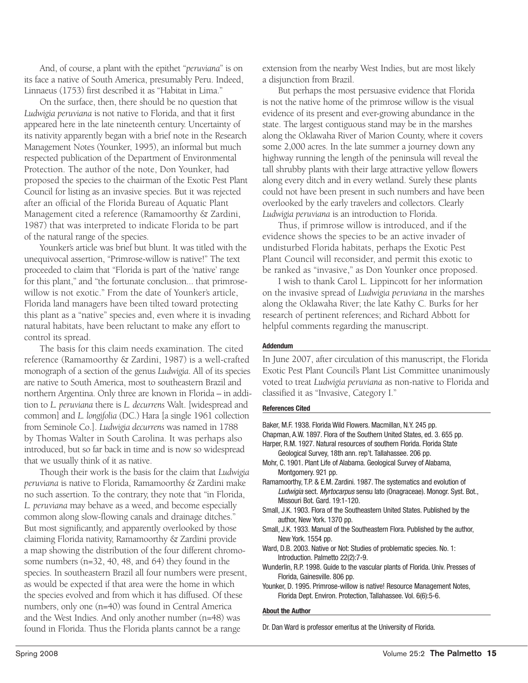And, of course, a plant with the epithet "*peruviana*" is on its face a native of South America, presumably Peru. Indeed, Linnaeus (1753) first described it as "Habitat in Lima."

On the surface, then, there should be no question that *Ludwigia peruviana* is not native to Florida, and that it first appeared here in the late nineteenth century. Uncertainty of its nativity apparently began with a brief note in the Research Management Notes (Younker, 1995), an informal but much respected publication of the Department of Environmental Protection. The author of the note, Don Younker, had proposed the species to the chairman of the Exotic Pest Plant Council for listing as an invasive species. But it was rejected after an official of the Florida Bureau of Aquatic Plant Management cited a reference (Ramamoorthy & Zardini, 1987) that was interpreted to indicate Florida to be part of the natural range of the species.

Younker's article was brief but blunt. It was titled with the unequivocal assertion, "Primrose-willow is native!" The text proceeded to claim that "Florida is part of the 'native' range for this plant," and "the fortunate conclusion... that primrosewillow is not exotic." From the date of Younker's article, Florida land managers have been tilted toward protecting this plant as a "native" species and, even where it is invading natural habitats, have been reluctant to make any effort to control its spread.

The basis for this claim needs examination. The cited reference (Ramamoorthy & Zardini, 1987) is a well-crafted monograph of a section of the genus *Ludwigia*. All of its species are native to South America, most to southeastern Brazil and northern Argentina. Only three are known in Florida – in addition to *L. peruviana* there is *L. decurrens* Walt. [widespread and common] and *L. longifolia* (DC.) Hara [a single 1961 collection from Seminole Co.]. *Ludwigia decurrens* was named in 1788 by Thomas Walter in South Carolina. It was perhaps also introduced, but so far back in time and is now so widespread that we usually think of it as native.

Though their work is the basis for the claim that *Ludwigia peruviana* is native to Florida, Ramamoorthy & Zardini make no such assertion. To the contrary, they note that "in Florida, *L. peruviana* may behave as a weed, and become especially common along slow-flowing canals and drainage ditches." But most significantly, and apparently overlooked by those claiming Florida nativity, Ramamoorthy & Zardini provide a map showing the distribution of the four different chromosome numbers (n=32, 40, 48, and 64) they found in the species. In southeastern Brazil all four numbers were present, as would be expected if that area were the home in which the species evolved and from which it has diffused. Of these numbers, only one (n=40) was found in Central America and the West Indies. And only another number (n=48) was found in Florida. Thus the Florida plants cannot be a range

extension from the nearby West Indies, but are most likely a disjunction from Brazil.

But perhaps the most persuasive evidence that Florida is not the native home of the primrose willow is the visual evidence of its present and ever-growing abundance in the state. The largest contiguous stand may be in the marshes along the Oklawaha River of Marion County, where it covers some 2,000 acres. In the late summer a journey down any highway running the length of the peninsula will reveal the tall shrubby plants with their large attractive yellow flowers along every ditch and in every wetland. Surely these plants could not have been present in such numbers and have been overlooked by the early travelers and collectors. Clearly *Ludwigia peruviana* is an introduction to Florida.

Thus, if primrose willow is introduced, and if the evidence shows the species to be an active invader of undisturbed Florida habitats, perhaps the Exotic Pest Plant Council will reconsider, and permit this exotic to be ranked as "invasive," as Don Younker once proposed.

I wish to thank Carol L. Lippincott for her information on the invasive spread of *Ludwigia peruviana* in the marshes along the Oklawaha River; the late Kathy C. Burks for her research of pertinent references; and Richard Abbott for helpful comments regarding the manuscript.

## **Addendum**

In June 2007, after circulation of this manuscript, the Florida Exotic Pest Plant Council's Plant List Committee unanimously voted to treat *Ludwigia peruviana* as non-native to Florida and classified it as "Invasive, Category I."

## **References Cited**

Baker, M.F. 1938. Florida Wild Flowers. Macmillan, N.Y. 245 pp. Chapman, A.W. 1897. Flora of the Southern United States, ed. 3. 655 pp. Harper, R.M. 1927. Natural resources of southern Florida. Florida State Geological Survey, 18th ann. rep't. Tallahassee. 206 pp. Mohr, C. 1901. Plant Life of Alabama. Geological Survey of Alabama, Montgomery. 921 pp. Ramamoorthy, T.P. & E.M. Zardini. 1987. The systematics and evolution of Ludwigia sect. Myrtocarpus sensu lato (Onagraceae). Monogr. Syst. Bot., Missouri Bot. Gard. 19:1-120. Small, J.K. 1903. Flora of the Southeastern United States. Published by the author, New York. 1370 pp. Small, J.K. 1933. Manual of the Southeastern Flora. Published by the author, New York. 1554 pp. Ward, D.B. 2003. Native or Not: Studies of problematic species. No. 1: Introduction. Palmetto 22(2):7-9. Wunderlin, R.P. 1998. Guide to the vascular plants of Florida. Univ. Presses of Florida, Gainesville. 806 pp. Younker, D. 1995. Primrose-willow is native! Resource Management Notes, Florida Dept. Environ. Protection, Tallahassee. Vol. 6(6):5-6.

## **About the Author**

Dr. Dan Ward is professor emeritus at the University of Florida.